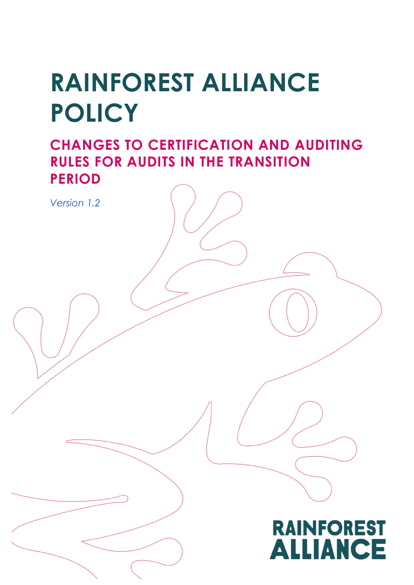# **RAINFOREST ALLIANCE POLICY**

**CHANGES TO CERTIFICATION AND AUDITING RULES FOR AUDITS IN THE TRANSITION PERIOD**

*Version 1.2*

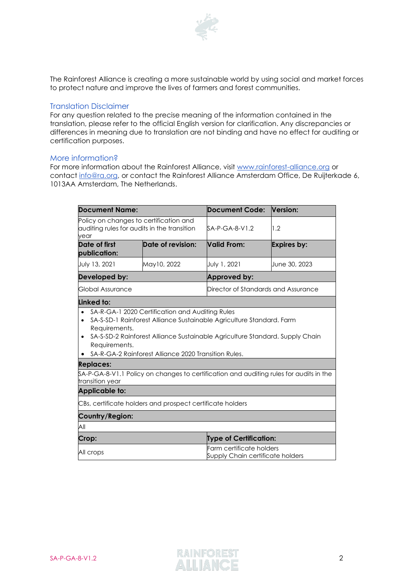

The Rainforest Alliance is creating a more sustainable world by using social and market forces to protect nature and improve the lives of farmers and forest communities.

#### Translation Disclaimer

For any question related to the precise meaning of the information contained in the translation, please refer to the official English version for clarification. Any discrepancies or differences in meaning due to translation are not binding and have no effect for auditing or certification purposes.

#### More information?

For more information about the Rainforest Alliance, visit [www.rainforest-alliance.org](http://www.rainforest-alliance.org/) or contact [info@ra.org,](mailto:info@ra.org) or contact the Rainforest Alliance Amsterdam Office, De Ruijterkade 6, 1013AA Amsterdam, The Netherlands.

| <b>Document Name:</b>                                                                                                                                                               |                   | <b>Document Code:</b>                                        | Version:           |
|-------------------------------------------------------------------------------------------------------------------------------------------------------------------------------------|-------------------|--------------------------------------------------------------|--------------------|
| Policy on changes to certification and<br>auditing rules for audits in the transition<br>vear                                                                                       |                   | SA-P-GA-8-V1.2                                               | 1.2                |
| Date of first<br>publication:                                                                                                                                                       | Date of revision: | <b>Valid From:</b>                                           | <b>Expires by:</b> |
| July 13, 2021                                                                                                                                                                       | May10, 2022       | July 1, 2021                                                 | June 30, 2023      |
| Developed by:                                                                                                                                                                       |                   | Approved by:                                                 |                    |
| Global Assurance                                                                                                                                                                    |                   | Director of Standards and Assurance                          |                    |
| Linked to:                                                                                                                                                                          |                   |                                                              |                    |
| Requirements.<br>SA-S-SD-2 Rainforest Alliance Sustainable Agriculture Standard. Supply Chain<br>$\bullet$<br>Requirements.<br>SA-R-GA-2 Rainforest Alliance 2020 Transition Rules. |                   |                                                              |                    |
| <b>Replaces:</b>                                                                                                                                                                    |                   |                                                              |                    |
| \$A-P-GA-8-V1.1 Policy on changes to certification and auditing rules for audits in the<br>transition year                                                                          |                   |                                                              |                    |
| <b>Applicable to:</b>                                                                                                                                                               |                   |                                                              |                    |
| CBs, certificate holders and prospect certificate holders                                                                                                                           |                   |                                                              |                    |
| Country/Region:                                                                                                                                                                     |                   |                                                              |                    |
| All                                                                                                                                                                                 |                   |                                                              |                    |
| Crop:                                                                                                                                                                               |                   | <b>Type of Certification:</b>                                |                    |
| All crops                                                                                                                                                                           |                   | Farm certificate holders<br>Supply Chain certificate holders |                    |

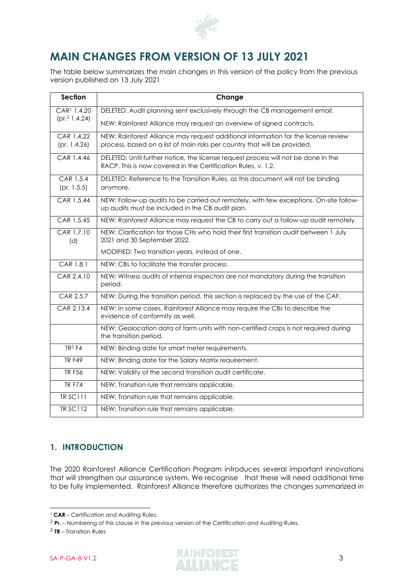

# **MAIN CHANGES FROM VERSION OF 13 JULY 2021**

The table below summarizes the main changes in this version of the policy from the previous version published on 13 July 2021

| <b>Section</b>            | Change                                                                                                                                              |
|---------------------------|-----------------------------------------------------------------------------------------------------------------------------------------------------|
| CAR <sup>1</sup> 1.4.20   | DELETED: Audit planning sent exclusively through the CB management email.                                                                           |
| (pr. <sup>2</sup> 1.4.24) | NEW: Rainforest Alliance may request an overview of signed contracts.                                                                               |
| CAR 1.4.22                | NEW: Rainforest Alliance may request additional information for the license review                                                                  |
| (pr. 1.4.26)              | process, based on a list of main risks per country that will be provided.                                                                           |
| CAR 1.4.46                | DELETED: Until further notice, the license request process will not be done in the<br>RACP. This is now covered in the Certification Rules, v. 1.2. |
| CAR 1.5.4<br>(pr. 1.5.5)  | DELETED: Reference to the Transition Rules, as this document will not be binding<br>anymore.                                                        |
| CAR 1.5.44                | NEW: Follow-up audits to be carried out remotely, with few exceptions. On-site follow-<br>up audits must be included in the CB audit plan.          |
| CAR 1.5.45                | NEW: Rainforest Alliance may request the CB to carry out a follow-up audit remotely.                                                                |
| CAR 1.7.10<br>(d)         | NEW: Clarification for those CHs who hold their first transition audit between 1 July<br>2021 and 30 September 2022.                                |
|                           | MODIFIED: Two transition years, instead of one.                                                                                                     |
| CAR 1.8.1                 | NEW: CBs to facilitate the transfer process.                                                                                                        |
| CAR 2.4.10                | NEW: Witness audits of internal inspectors are not mandatory during the transition<br>period.                                                       |
| CAR 2.5.7                 | NEW: During the transition period, this section is replaced by the use of the CAF.                                                                  |
| CAR 2.13.4                | NEW: In some cases, Rainforest Alliance may require the CBs to describe the<br>evidence of conformity as well.                                      |
|                           | NEW: Geolocation data of farm units with non-certified crops is not required during<br>the transition period.                                       |
| TR <sup>3</sup> F4        | NEW: Binding date for smart meter requirements.                                                                                                     |
| <b>TR F49</b>             | NEW: Binding date for the Salary Matrix requirement.                                                                                                |
| <b>TR F56</b>             | NEW: Validity of the second transition audit certificate.                                                                                           |
| <b>TRF74</b>              | NEW: Transition rule that remains applicable.                                                                                                       |
| <b>TR SC111</b>           | NEW: Transition rule that remains applicable.                                                                                                       |
| <b>TR SC112</b>           | NEW: Transition rule that remains applicable.                                                                                                       |

# **1. INTRODUCTION**

The 2020 Rainforest Alliance Certification Program introduces several important innovations that will strengthen our assurance system. We recognise that these will need additional time to be fully implemented. Rainforest Alliance therefore authorizes the changes summarized in

<sup>2</sup> **Pr.** – Numbering of this clause in the previous version of the Certification and Auditing Rules.



<sup>&</sup>lt;sup>1</sup> CAR – Certification and Auditing Rules.

<sup>3</sup> **TR** – Transition Rules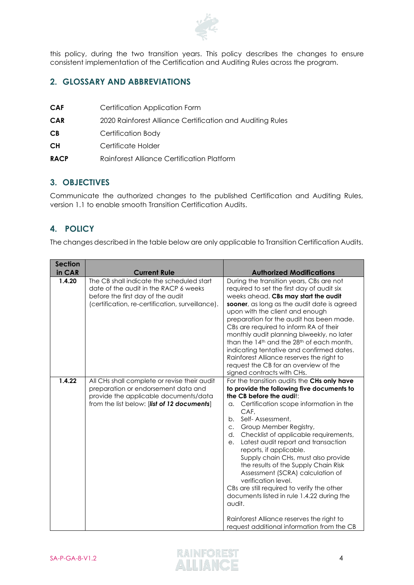

this policy, during the two transition years. This policy describes the changes to ensure consistent implementation of the Certification and Auditing Rules across the program.

## **2. GLOSSARY AND ABBREVIATIONS**

- **CAF** Certification Application Form
- **CAR** 2020 Rainforest Alliance Certification and Auditing Rules
- **CB** Certification Body
- **CH** Certificate Holder
- **RACP** Rainforest Alliance Certification Platform

#### **3. OBJECTIVES**

Communicate the authorized changes to the published Certification and Auditing Rules, version 1.1 to enable smooth Transition Certification Audits.

## **4. POLICY**

The changes described in the table below are only applicable to Transition Certification Audits.

| <b>Section</b> |                                                                                                                                                                             |                                                                                                                                                                                                                                                                                                                                                                                                                                                                                                                                                                                                                                                                                                                    |
|----------------|-----------------------------------------------------------------------------------------------------------------------------------------------------------------------------|--------------------------------------------------------------------------------------------------------------------------------------------------------------------------------------------------------------------------------------------------------------------------------------------------------------------------------------------------------------------------------------------------------------------------------------------------------------------------------------------------------------------------------------------------------------------------------------------------------------------------------------------------------------------------------------------------------------------|
| in CAR         | <b>Current Rule</b>                                                                                                                                                         | <b>Authorized Modifications</b>                                                                                                                                                                                                                                                                                                                                                                                                                                                                                                                                                                                                                                                                                    |
| 1.4.20         | The CB shall indicate the scheduled start<br>date of the audit in the RACP 6 weeks<br>before the first day of the audit<br>(certification, re-certification, surveillance). | During the transition years, CBs are not<br>required to set the first day of audit six<br>weeks ahead. CBs may start the audit<br>sooner, as long as the audit date is agreed<br>upon with the client and enough<br>preparation for the audit has been made.<br>CBs are required to inform RA of their<br>monthly audit planning biweekly, no later<br>than the 14 <sup>th</sup> and the 28 <sup>th</sup> of each month,<br>indicating tentative and confirmed dates.<br>Rainforest Alliance reserves the right to<br>request the CB for an overview of the<br>signed contracts with CHs.                                                                                                                          |
| 1.4.22         | All CHs shall complete or revise their audit<br>preparation or endorsement data and<br>provide the applicable documents/data<br>from the list below: [list of 12 documents] | For the transition audits the CHs only have<br>to provide the following five documents to<br>the CB before the audit:<br>Certification scope information in the<br>а.<br>CAF.<br>Self-Assessment,<br>b.<br>Group Member Registry,<br>$C_{\star}$<br>Checklist of applicable requirements,<br>d.<br>Latest audit report and transaction<br>e.<br>reports, if applicable.<br>Supply chain CHs, must also provide<br>the results of the Supply Chain Risk<br>Assessment (SCRA) calculation of<br>verification level.<br>CBs are still required to verify the other<br>documents listed in rule 1.4.22 during the<br>audit.<br>Rainforest Alliance reserves the right to<br>request additional information from the CB |

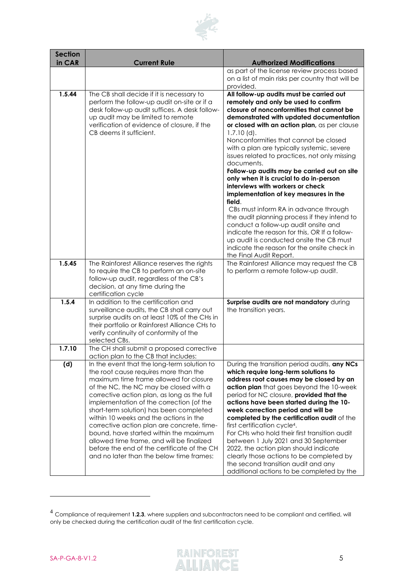

| <b>Section</b><br>in CAR | <b>Current Rule</b>                                                                                                                                                                                                                                                                                                                                                                                                                                                                                                                                                                      | <b>Authorized Modifications</b>                                                                                                                                                                                                                                                                                                                                                                                                                                                                                                                                                                                                                                        |
|--------------------------|------------------------------------------------------------------------------------------------------------------------------------------------------------------------------------------------------------------------------------------------------------------------------------------------------------------------------------------------------------------------------------------------------------------------------------------------------------------------------------------------------------------------------------------------------------------------------------------|------------------------------------------------------------------------------------------------------------------------------------------------------------------------------------------------------------------------------------------------------------------------------------------------------------------------------------------------------------------------------------------------------------------------------------------------------------------------------------------------------------------------------------------------------------------------------------------------------------------------------------------------------------------------|
|                          |                                                                                                                                                                                                                                                                                                                                                                                                                                                                                                                                                                                          | as part of the license review process based                                                                                                                                                                                                                                                                                                                                                                                                                                                                                                                                                                                                                            |
|                          |                                                                                                                                                                                                                                                                                                                                                                                                                                                                                                                                                                                          | on a list of main risks per country that will be<br>provided.                                                                                                                                                                                                                                                                                                                                                                                                                                                                                                                                                                                                          |
| 1.5.44                   | The CB shall decide if it is necessary to<br>perform the follow-up audit on-site or if a<br>desk follow-up audit suffices. A desk follow-<br>up audit may be limited to remote<br>verification of evidence of closure, if the<br>CB deems it sufficient.                                                                                                                                                                                                                                                                                                                                 | All follow-up audits must be carried out<br>remotely and only be used to confirm<br>closure of nonconformities that cannot be<br>demonstrated with updated documentation<br>or closed with an action plan, as per clause<br>$1.7.10$ (d).<br>Nonconformities that cannot be closed<br>with a plan are typically systemic, severe<br>issues related to practices, not only missing<br>documents.<br>Follow-up audits may be carried out on site<br>only when it is crucial to do in-person                                                                                                                                                                              |
|                          |                                                                                                                                                                                                                                                                                                                                                                                                                                                                                                                                                                                          | interviews with workers or check<br>implementation of key measures in the<br>field.<br>CBs must inform RA in advance through<br>the audit planning process if they intend to<br>conduct a follow-up audit onsite and<br>indicate the reason for this, OR If a follow-<br>up audit is conducted onsite the CB must<br>indicate the reason for the onsite check in<br>the Final Audit Report.                                                                                                                                                                                                                                                                            |
| 1.5.45                   | The Rainforest Alliance reserves the rights<br>to require the CB to perform an on-site<br>follow-up audit, regardless of the CB's<br>decision, at any time during the<br>certification cycle                                                                                                                                                                                                                                                                                                                                                                                             | The Rainforest Alliance may request the CB<br>to perform a remote follow-up audit.                                                                                                                                                                                                                                                                                                                                                                                                                                                                                                                                                                                     |
| 1.5.4                    | In addition to the certification and<br>surveillance audits, the CB shall carry out<br>surprise audits on at least 10% of the CHs in<br>their portfolio or Rainforest Alliance CHs to<br>verify continuity of conformity of the<br>selected CBs.                                                                                                                                                                                                                                                                                                                                         | Surprise audits are not mandatory during<br>the transition years.                                                                                                                                                                                                                                                                                                                                                                                                                                                                                                                                                                                                      |
| 1.7.10                   | The CH shall submit a proposed corrective<br>action plan to the CB that includes:                                                                                                                                                                                                                                                                                                                                                                                                                                                                                                        |                                                                                                                                                                                                                                                                                                                                                                                                                                                                                                                                                                                                                                                                        |
| (d)                      | In the event that the long-term solution to<br>the root cause requires more than the<br>maximum time frame allowed for closure<br>of the NC, the NC may be closed with a<br>corrective action plan, as long as the full<br>implementation of the correction (of the<br>short-term solution) has been completed<br>within 10 weeks and the actions in the<br>corrective action plan are concrete, time-<br>bound, have started within the maximum<br>allowed time frame, and will be finalized<br>before the end of the certificate of the CH<br>and no later than the below time frames: | During the transition period audits, any NCs<br>which require long-term solutions to<br>address root causes may be closed by an<br>action plan that goes beyond the 10-week<br>period for NC closure, provided that the<br>actions have been started during the 10-<br>week correction period and will be<br>completed by the certification audit of the<br>first certification cycle <sup>4</sup> .<br>For CHs who hold their first transition audit<br>between 1 July 2021 and 30 September<br>2022, the action plan should indicate<br>clearly those actions to be completed by<br>the second transition audit and any<br>additional actions to be completed by the |



<sup>4</sup> Compliance of requirement **1.2.3**, where suppliers and subcontractors need to be compliant and certified, will only be checked during the certification audit of the first certification cycle.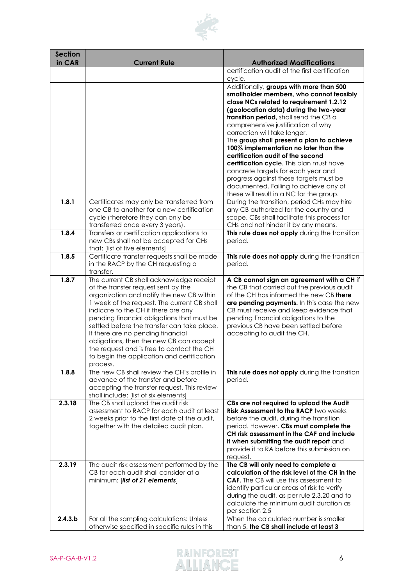

| <b>Section</b><br>in CAR | <b>Current Rule</b>                                                                      | <b>Authorized Modifications</b>                                                          |
|--------------------------|------------------------------------------------------------------------------------------|------------------------------------------------------------------------------------------|
|                          |                                                                                          | certification audit of the first certification                                           |
|                          |                                                                                          | cycle.<br>Additionally, groups with more than 500                                        |
|                          |                                                                                          | smallholder members, who cannot feasibly                                                 |
|                          |                                                                                          | close NCs related to requirement 1.2.12                                                  |
|                          |                                                                                          | (geolocation data) during the two-year<br>transition period, shall send the CB a         |
|                          |                                                                                          | comprehensive justification of why                                                       |
|                          |                                                                                          | correction will take longer.                                                             |
|                          |                                                                                          | The group shall present a plan to achieve                                                |
|                          |                                                                                          | 100% implementation no later than the<br>certification audit of the second               |
|                          |                                                                                          | certification cycle. This plan must have                                                 |
|                          |                                                                                          | concrete targets for each year and                                                       |
|                          |                                                                                          | progress against these targets must be                                                   |
|                          |                                                                                          | documented. Failing to achieve any of<br>these will result in a NC for the group.        |
| 1.8.1                    | Certificates may only be transferred from                                                | During the transition, period CHs may hire                                               |
|                          | one CB to another for a new certification                                                | any CB authorized for the country and                                                    |
|                          | cycle (therefore they can only be                                                        | scope. CBs shall facilitate this process for<br>CHs and not hinder it by any means.      |
| 1.8.4                    | transferred once every 3 years).<br>Transfers or certification applications to           | This rule does not apply during the transition                                           |
|                          | new CBs shall not be accepted for CHs                                                    | period.                                                                                  |
|                          | that: [list of five elements]                                                            |                                                                                          |
| 1.8.5                    | Certificate transfer requests shall be made<br>in the RACP by the CH requesting a        | This rule does not apply during the transition<br>period.                                |
|                          | transfer.                                                                                |                                                                                          |
| 1.8.7                    | The current CB shall acknowledge receipt                                                 | A CB cannot sign an agreement with a CH if                                               |
|                          | of the transfer request sent by the                                                      | the CB that carried out the previous audit                                               |
|                          | organization and notify the new CB within<br>1 week of the request. The current CB shall | of the CH has informed the new CB there<br>are pending payments. In this case the new    |
|                          | indicate to the CH if there are any                                                      | CB must receive and keep evidence that                                                   |
|                          | pending financial obligations that must be                                               | pending financial obligations to the                                                     |
|                          | settled before the transfer can take place.                                              | previous CB have been settled before                                                     |
|                          | If there are no pending financial<br>obligations, then the new CB can accept             | accepting to audit the CH.                                                               |
|                          | the request and is free to contact the CH                                                |                                                                                          |
|                          | to begin the application and certification                                               |                                                                                          |
| 1.8.8                    | process.<br>The new CB shall review the CH's profile in                                  | This rule does not apply during the transition                                           |
|                          | advance of the transfer and before                                                       | period.                                                                                  |
|                          | accepting the transfer request. This review                                              |                                                                                          |
| 2.3.18                   | shall include: [list of six elements]<br>The CB shall upload the audit risk              |                                                                                          |
|                          | assessment to RACP for each audit at least                                               | CBs are not required to upload the Audit<br><b>Risk Assessment to the RACP two weeks</b> |
|                          | 2 weeks prior to the first date of the audit,                                            | before the audit, during the transition                                                  |
|                          | together with the detailed audit plan.                                                   | period. However, CBs must complete the                                                   |
|                          |                                                                                          | CH risk assessment in the CAF and include<br>it when submitting the audit report and     |
|                          |                                                                                          | provide it to RA before this submission on                                               |
|                          |                                                                                          | request.                                                                                 |
| 2.3.19                   | The audit risk assessment performed by the<br>CB for each audit shall consider at a      | The CB will only need to complete a<br>calculation of the risk level of the CH in the    |
|                          | minimum: [list of 21 elements]                                                           | <b>CAF.</b> The CB will use this assessment to                                           |
|                          |                                                                                          | identify particular areas of risk to verify                                              |
|                          |                                                                                          | during the audit, as per rule 2.3.20 and to                                              |
|                          |                                                                                          | calculate the minimum audit duration as<br>per section 2.5                               |
| 2.4.3.b                  | For all the sampling calculations: Unless                                                | When the calculated number is smaller                                                    |
|                          | otherwise specified in specific rules in this                                            | than 5, the CB shall include at least 3                                                  |

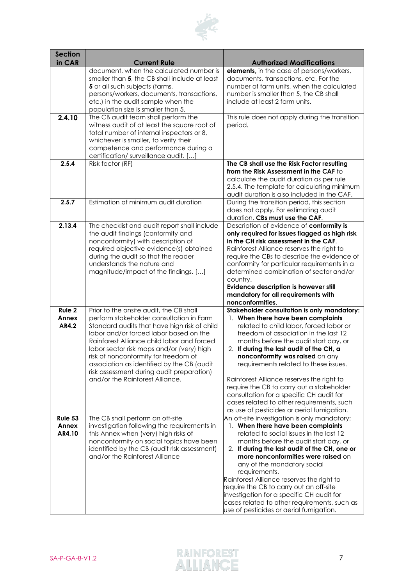

| <b>Section</b>             |                                                                                                                                                                                                                                                                                                                                                                                                                                                |                                                                                                                                                                                                                                                                                                                                                                                                                                                                                                                                                                         |
|----------------------------|------------------------------------------------------------------------------------------------------------------------------------------------------------------------------------------------------------------------------------------------------------------------------------------------------------------------------------------------------------------------------------------------------------------------------------------------|-------------------------------------------------------------------------------------------------------------------------------------------------------------------------------------------------------------------------------------------------------------------------------------------------------------------------------------------------------------------------------------------------------------------------------------------------------------------------------------------------------------------------------------------------------------------------|
| in CAR                     | <b>Current Rule</b>                                                                                                                                                                                                                                                                                                                                                                                                                            | <b>Authorized Modifications</b>                                                                                                                                                                                                                                                                                                                                                                                                                                                                                                                                         |
| 2.4.10                     | document, when the calculated number is<br>smaller than 5, the CB shall include at least<br>5 or all such subjects (farms,<br>persons/workers, documents, transactions,<br>etc.) in the audit sample when the<br>population size is smaller than 5.<br>The CB audit team shall perform the<br>witness audit of at least the square root of<br>total number of internal inspectors or 8,                                                        | <b>elements</b> , in the case of persons/workers,<br>documents, transactions, etc. For the<br>number of farm units, when the calculated<br>number is smaller than 5, the CB shall<br>include at least 2 farm units.<br>This rule does not apply during the transition<br>period.                                                                                                                                                                                                                                                                                        |
| 2.5.4                      | whichever is smaller, to verify their<br>competence and performance during a<br>certification/ surveillance audit. []<br>Risk factor (RF)                                                                                                                                                                                                                                                                                                      | The CB shall use the Risk Factor resulting                                                                                                                                                                                                                                                                                                                                                                                                                                                                                                                              |
|                            |                                                                                                                                                                                                                                                                                                                                                                                                                                                | from the Risk Assessment in the CAF to<br>calculate the audit duration as per rule<br>2.5.4. The template for calculating minimum<br>audit duration is also included in the CAF.                                                                                                                                                                                                                                                                                                                                                                                        |
| 2.5.7                      | Estimation of minimum audit duration                                                                                                                                                                                                                                                                                                                                                                                                           | During the transition period, this section<br>does not apply. For estimating audit<br>duration, CBs must use the CAF.                                                                                                                                                                                                                                                                                                                                                                                                                                                   |
| 2.13.4                     | The checklist and audit report shall include<br>the audit findings (conformity and<br>nonconformity) with description of<br>required objective evidence(s) obtained<br>during the audit so that the reader<br>understands the nature and<br>magnitude/impact of the findings. []                                                                                                                                                               | Description of evidence of conformity is<br>only required for issues flagged as high risk<br>in the CH risk assessment in the CAF.<br>Rainforest Alliance reserves the right to<br>require the CBs to describe the evidence of<br>conformity for particular requirements in a<br>determined combination of sector and/or<br>country.<br>Evidence description is however still<br>mandatory for all requirements with<br>nonconformities.                                                                                                                                |
| Rule 2<br>Annex<br>AR4.2   | Prior to the onsite audit, the CB shall<br>perform stakeholder consultation in Farm<br>Standard audits that have high risk of child<br>labor and/or forced labor based on the<br>Rainforest Alliance child labor and forced<br>labor sector risk maps and/or (very) high<br>risk of nonconformity for freedom of<br>association as identified by the CB (audit<br>risk assessment during audit preparation)<br>and/or the Rainforest Alliance. | Stakeholder consultation is only mandatory:<br>1. When there have been complaints<br>related to child labor, forced labor or<br>freedom of association in the last 12<br>months before the audit start day, or<br>2. If during the last audit of the CH, a<br>nonconformity was raised on any<br>requirements related to these issues.<br>Rainforest Alliance reserves the right to<br>require the CB to carry out a stakeholder<br>consultation for a specific CH audit for<br>cases related to other requirements, such<br>as use of pesticides or aerial fumigation. |
| Rule 53<br>Annex<br>AR4.10 | The CB shall perform an off-site<br>investigation following the requirements in<br>this Annex when (very) high risks of<br>nonconformity on social topics have been<br>identified by the CB (audit risk assessment)<br>and/or the Rainforest Alliance                                                                                                                                                                                          | An off-site investigation is only mandatory:<br>1. When there have been complaints<br>related to social issues in the last 12<br>months before the audit start day, or<br>2. If during the last audit of the CH, one or<br>more nonconformities were raised on<br>any of the mandatory social<br>requirements.<br>Rainforest Alliance reserves the right to<br>require the CB to carry out an off-site<br>investigation for a specific CH audit for<br>cases related to other requirements, such as<br>use of pesticides or aerial fumigation.                          |